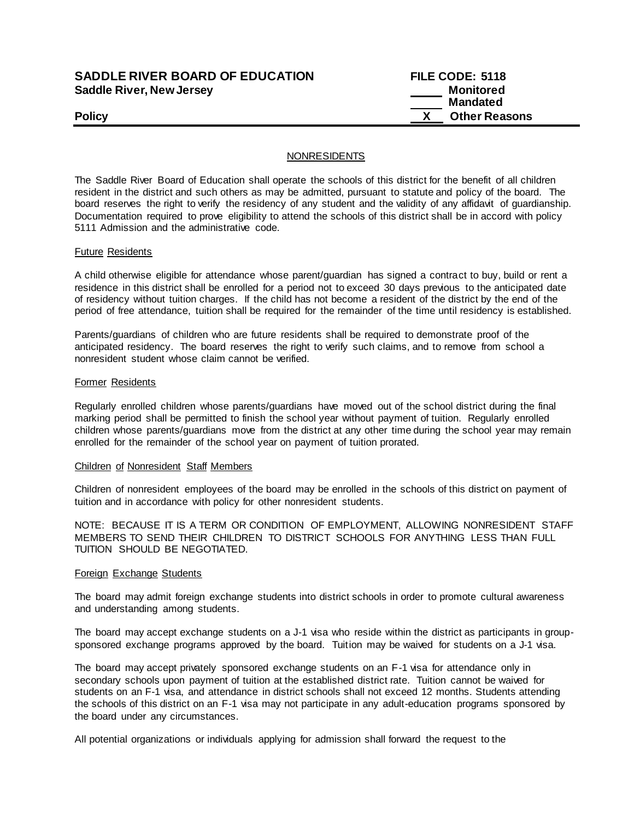# **SADDLE RIVER BOARD OF EDUCATION Saddle River, New Jersey**

| <b>SADDLE RIVER BOARD OF EDUCATION</b> | FILE CODE: 5118      |
|----------------------------------------|----------------------|
| Saddle River, New Jersey               | Monitored            |
|                                        | <b>Mandated</b>      |
| Policy                                 | <b>Other Reasons</b> |

# NONRESIDENTS

The Saddle River Board of Education shall operate the schools of this district for the benefit of all children resident in the district and such others as may be admitted, pursuant to statute and policy of the board. The board reserves the right to verify the residency of any student and the validity of any affidavit of guardianship. Documentation required to prove eligibility to attend the schools of this district shall be in accord with policy 5111 Admission and the administrative code.

### Future Residents

A child otherwise eligible for attendance whose parent/guardian has signed a contract to buy, build or rent a residence in this district shall be enrolled for a period not to exceed 30 days previous to the anticipated date of residency without tuition charges. If the child has not become a resident of the district by the end of the period of free attendance, tuition shall be required for the remainder of the time until residency is established.

Parents/guardians of children who are future residents shall be required to demonstrate proof of the anticipated residency. The board reserves the right to verify such claims, and to remove from school a nonresident student whose claim cannot be verified.

### Former Residents

Regularly enrolled children whose parents/guardians have moved out of the school district during the final marking period shall be permitted to finish the school year without payment of tuition. Regularly enrolled children whose parents/guardians move from the district at any other time during the school year may remain enrolled for the remainder of the school year on payment of tuition prorated.

## Children of Nonresident Staff Members

Children of nonresident employees of the board may be enrolled in the schools of this district on payment of tuition and in accordance with policy for other nonresident students.

NOTE: BECAUSE IT IS A TERM OR CONDITION OF EMPLOYMENT, ALLOWING NONRESIDENT STAFF MEMBERS TO SEND THEIR CHILDREN TO DISTRICT SCHOOLS FOR ANYTHING LESS THAN FULL TUITION SHOULD BE NEGOTIATED.

#### Foreign Exchange Students

The board may admit foreign exchange students into district schools in order to promote cultural awareness and understanding among students.

The board may accept exchange students on a J-1 visa who reside within the district as participants in groupsponsored exchange programs approved by the board. Tuition may be waived for students on a J-1 visa.

The board may accept privately sponsored exchange students on an F-1 visa for attendance only in secondary schools upon payment of tuition at the established district rate. Tuition cannot be waived for students on an F-1 visa, and attendance in district schools shall not exceed 12 months. Students attending the schools of this district on an F-1 visa may not participate in any adult-education programs sponsored by the board under any circumstances.

All potential organizations or individuals applying for admission shall forward the request to the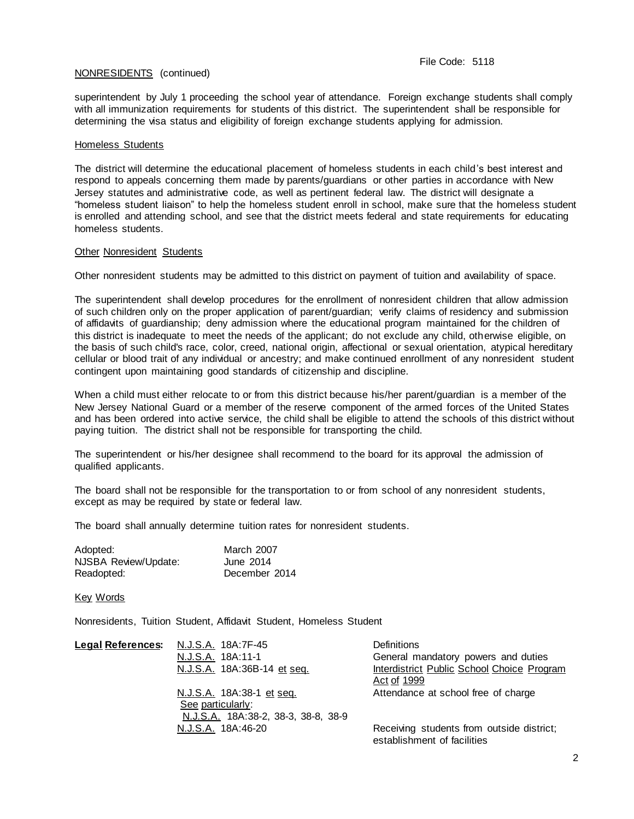# NONRESIDENTS (continued)

superintendent by July 1 proceeding the school year of attendance. Foreign exchange students shall comply with all immunization requirements for students of this district. The superintendent shall be responsible for determining the visa status and eligibility of foreign exchange students applying for admission.

### Homeless Students

The district will determine the educational placement of homeless students in each child's best interest and respond to appeals concerning them made by parents/guardians or other parties in accordance with New Jersey statutes and administrative code, as well as pertinent federal law. The district will designate a "homeless student liaison" to help the homeless student enroll in school, make sure that the homeless student is enrolled and attending school, and see that the district meets federal and state requirements for educating homeless students.

### Other Nonresident Students

Other nonresident students may be admitted to this district on payment of tuition and availability of space.

The superintendent shall develop procedures for the enrollment of nonresident children that allow admission of such children only on the proper application of parent/guardian; verify claims of residency and submission of affidavits of guardianship; deny admission where the educational program maintained for the children of this district is inadequate to meet the needs of the applicant; do not exclude any child, otherwise eligible, on the basis of such child's race, color, creed, national origin, affectional or sexual orientation, atypical hereditary cellular or blood trait of any individual or ancestry; and make continued enrollment of any nonresident student contingent upon maintaining good standards of citizenship and discipline.

When a child must either relocate to or from this district because his/her parent/guardian is a member of the New Jersey National Guard or a member of the reserve component of the armed forces of the United States and has been ordered into active service, the child shall be eligible to attend the schools of this district without paying tuition. The district shall not be responsible for transporting the child.

The superintendent or his/her designee shall recommend to the board for its approval the admission of qualified applicants.

The board shall not be responsible for the transportation to or from school of any nonresident students, except as may be required by state or federal law.

The board shall annually determine tuition rates for nonresident students.

| Adopted:             | March 2007    |
|----------------------|---------------|
| NJSBA Review/Update: | June 2014     |
| Readopted:           | December 2014 |

Key Words

Nonresidents, Tuition Student, Affidavit Student, Homeless Student

| <u> Legal References</u> : | N.J.S.A. 18A:7F-45                  | <b>Definitions</b>                         |
|----------------------------|-------------------------------------|--------------------------------------------|
|                            | N.J.S.A. 18A:11-1                   | General mandatory powers and duties        |
|                            | N.J.S.A. 18A:36B-14 et seq.         | Interdistrict Public School Choice Program |
|                            |                                     | Act of 1999                                |
|                            | N.J.S.A. 18A:38-1 et seq.           | Attendance at school free of charge        |
|                            | See particularly:                   |                                            |
|                            | N.J.S.A. 18A:38-2, 38-3, 38-8, 38-9 |                                            |
|                            | N.J.S.A. 18A:46-20                  | Receiving students from outside district;  |
|                            |                                     | establishment of facilities                |